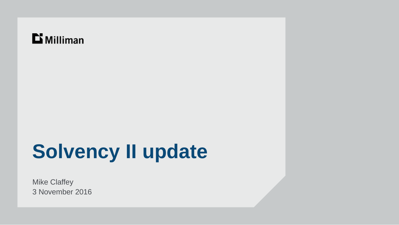### $\mathbf{D}$  Milliman

# **Solvency II update**

Mike Claffey 3 November 2016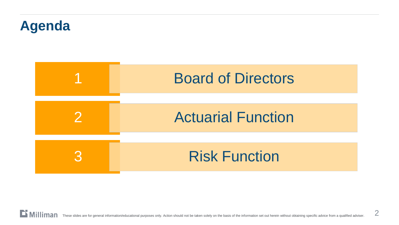## **Agenda**

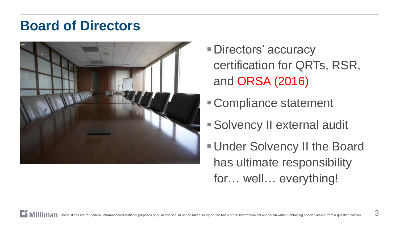### **Board of Directors**



- Directors' accuracy certification for QRTs, RSR, and ORSA (2016)
- Compliance statement
- Solvency II external audit
- Under Solvency II the Board has ultimate responsibility for… well… everything!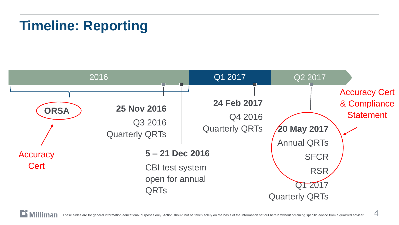## **Timeline: Reporting**



4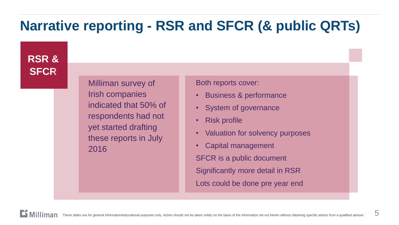## **Narrative reporting - RSR and SFCR (& public QRTs)**

**RSR & SFCR**

> Milliman survey of Irish companies indicated that 50% of respondents had not yet started drafting these reports in July 2016

Both reports cover:

- Business & performance
- System of governance
- Risk profile
- Valuation for solvency purposes
- Capital management SFCR is a public document Significantly more detail in RSR Lots could be done pre year end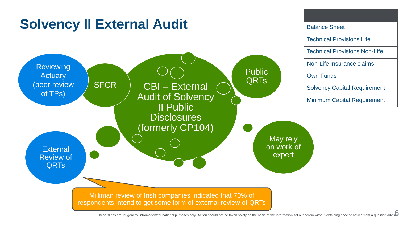

These slides are for general information/educational purposes only. Action should not be taken solely on the basis of the information set out herein without obtaining specific advice from a qualified adviser.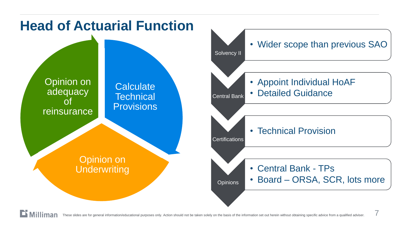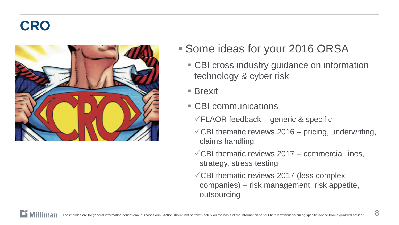## **CRO**



- Some ideas for your 2016 ORSA
	- CBI cross industry guidance on information technology & cyber risk
	- **Brexit**
	- **CBI communications** 
		- $\sqrt{\text{FLAOR}}$  feedback generic & specific
		- $\sqrt{CB}$ I thematic reviews 2016 pricing, underwriting, claims handling
		- $\sqrt{CB}$ I thematic reviews 2017 commercial lines, strategy, stress testing
		- CBI thematic reviews 2017 (less complex companies) – risk management, risk appetite, outsourcing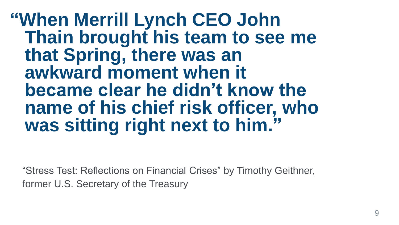**"When Merrill Lynch CEO John Thain brought his team to see me that Spring, there was an awkward moment when it became clear he didn't know the name of his chief risk officer, who was sitting right next to him."**

"Stress Test: Reflections on Financial Crises" by Timothy Geithner, former U.S. Secretary of the Treasury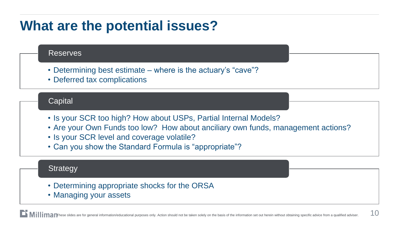### **What are the potential issues?**

#### Reserves

- Determining best estimate where is the actuary's "cave"?
- Deferred tax complications

#### **Capital**

- Is your SCR too high? How about USPs, Partial Internal Models?
- Are your Own Funds too low? How about anciliary own funds, management actions?
- Is your SCR level and coverage volatile?
- Can you show the Standard Formula is "appropriate"?

#### **Strategy**

- Determining appropriate shocks for the ORSA
- Managing your assets

nese slides are for general information/educational purposes only. Action should not be taken solely on the basis of the information set out herein without obtaining specific advice from a qualified adviser.  $\hbox{10}$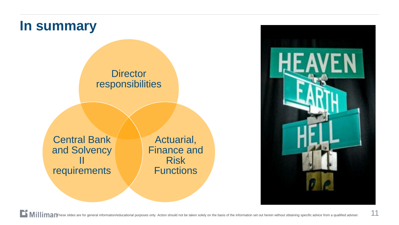### **In summary**

#### **Director** responsibilities

Central Bank and Solvency II requirements

Actuarial, Finance and Risk **Functions**